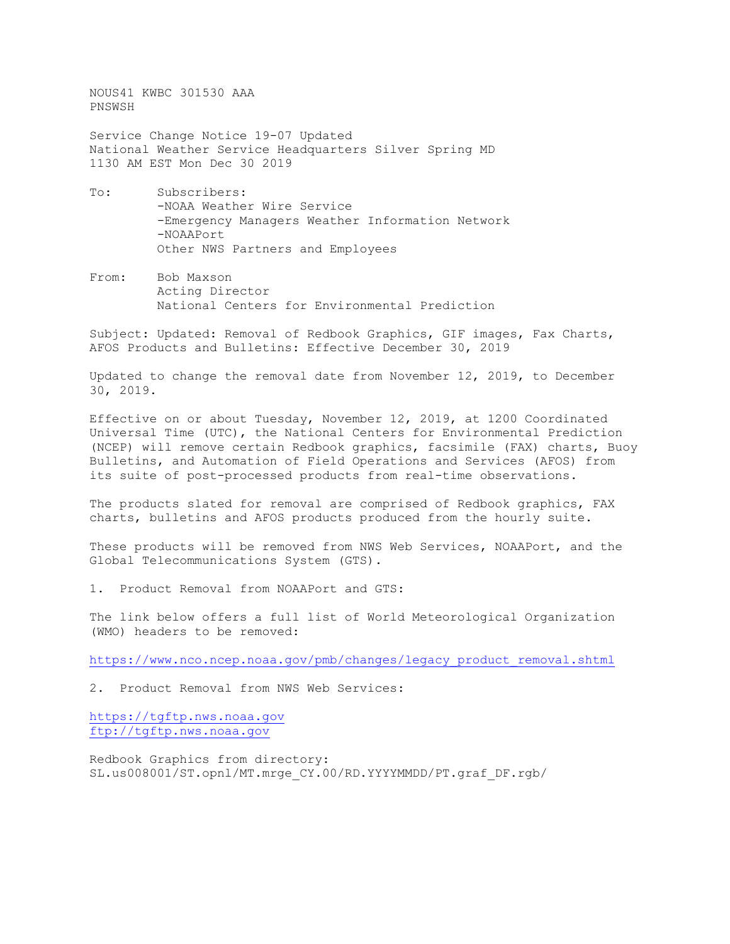NOUS41 KWBC 301530 AAA PNSWSH

Service Change Notice 19-07 Updated National Weather Service Headquarters Silver Spring MD 1130 AM EST Mon Dec 30 2019

- To: Subscribers: -NOAA Weather Wire Service -Emergency Managers Weather Information Network -NOAAPort Other NWS Partners and Employees
- From: Bob Maxson Acting Director National Centers for Environmental Prediction

Subject: Updated: Removal of Redbook Graphics, GIF images, Fax Charts, AFOS Products and Bulletins: Effective December 30, 2019

Updated to change the removal date from November 12, 2019, to December 30, 2019.

Effective on or about Tuesday, November 12, 2019, at 1200 Coordinated Universal Time (UTC), the National Centers for Environmental Prediction (NCEP) will remove certain Redbook graphics, facsimile (FAX) charts, Buoy Bulletins, and Automation of Field Operations and Services (AFOS) from its suite of post-processed products from real-time observations.

The products slated for removal are comprised of Redbook graphics, FAX charts, bulletins and AFOS products produced from the hourly suite.

These products will be removed from NWS Web Services, NOAAPort, and the Global Telecommunications System (GTS).

1. Product Removal from NOAAPort and GTS:

The link below offers a full list of World Meteorological Organization (WMO) headers to be removed:

[https://www.nco.ncep.noaa.gov/pmb/changes/legacy\\_product\\_removal.shtml](https://www.nco.ncep.noaa.gov/pmb/changes/legacy_product_removal.shtml)

2. Product Removal from NWS Web Services:

[https://tgftp.nws.noaa.gov](https://tgftp.nws.noaa.gov/) [ftp://tgftp.nws.noaa.gov](ftp://tgftp.nws.noaa.gov/)

Redbook Graphics from directory: SL.us008001/ST.opnl/MT.mrge\_CY.00/RD.YYYYMMDD/PT.graf\_DF.rgb/